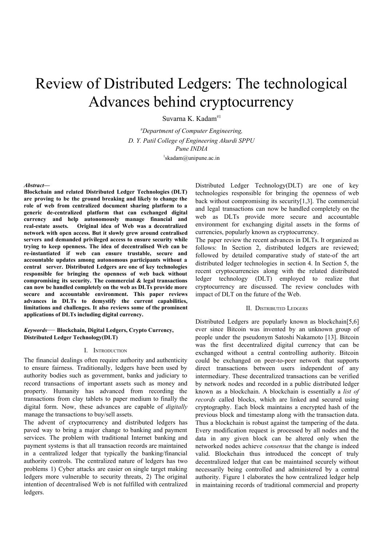# Review of Distributed Ledgers: The technological Advances behind cryptocurrency

Suvarna K. Kadam #1

*#Department of Computer Engineering, D. Y. Patil College of Engineering Akurdi SPPU Pune INDIA*  $\text{1}_s$ kadam@unipune.ac.in

#### *Abstract***—**

**Blockchain and related Distributed Ledger Technologies (DLT) are proving to be the ground breaking and likely to change the role of web from centralized document sharing platform to a generic de-centralized platform that can exchanged digital currency and help autonomously manage financial and real-estate assets. Original idea of Web was a decentralized network with open access. But it slowly grew around centralised servers and demanded privileged access to ensure security while trying to keep openness. The idea of decentralised Web can be re-instantiated if web can ensure trustable, secure and accountable updates among autonomous participants without a central server. Distributed Ledgers are one of key technologies responsible for bringing the openness of web back without compromising its security. The commercial & legal transactions can now be handled completely on the web as DLTs provide more secure and accountable environment. This paper reviews advances in DLTs to demystify the current capabilities, limitations and challenges. It also reviews some of the prominent applications of DLTs including digital currency.**

## *Keywords*— **Blockchain, Digital Ledgers, Crypto Currency, Distributed Ledger Technology(DLT)**

#### I. INTRODUCTION

The financial dealings often require authority and authenticity to ensure fairness. Traditionally, ledgers have been used by authority bodies such as government, banks and judiciary to record transactions of important assets such as money and property. Humanity has advanced from recording the transactions from clay tablets to paper medium to finally the digital form. Now, these advances are capable of *digitally* manage the transactions to buy/sell assets.

The advent of cryptocurrency and distributed ledgers has paved way to bring a major change to banking and payment services. The problem with traditional Internet banking and payment systems is that all transaction records are maintained in a centralized ledger that typically the banking/financial authority controls. The centralized nature of ledgers has two problems 1) Cyber attacks are easier on single target making ledgers more vulnerable to security threats, 2) The original intention of decentralised Web is not fulfilled with centralized ledgers.

Distributed Ledger Technology(DLT) are one of key technologies responsible for bringing the openness of web back without compromising its security[1,3]. The commercial and legal transactions can now be handled completely on the web as DLTs provide more secure and accountable environment for exchanging digital assets in the forms of currencies, popularly known as cryptocurrency.

The paper review the recent advances in DLTs. It organized as follows: In Section 2, distributed ledgers are reviewed; followed by detailed comparative study of state-of the art distributed ledger technologies in section 4. In Section 5, the recent cryptocurrencies along with the related distributed ledger technology (DLT) employed to realize that cryptocurrency are discussed. The review concludes with impact of DLT on the future of the Web.

#### II. DISTRIBUTED LEDGERS

Distributed Ledgers are popularly known as blockchain[5,6] ever since Bitcoin was invented by an unknown group of people under the pseudonym Satoshi Nakamoto [13]. Bitcoin was the first decentralized digital currency that can be exchanged without a central controlling authority. Bitcoin could be exchanged on peer-to-peer network that supports direct transactions between users independent of any intermediary. These decentralized transactions can be verified by network nodes and recorded in a public distributed ledger known as a blockchain. A blockchain is essentially a *list of records* called blocks, which are linked and secured using cryptography. Each block maintains a encrypted hash of the previous block and timestamp along with the transaction data. Thus a blockchain is robust against the tampering of the data. Every modification request is processed by all nodes and the data in any given block can be altered only when the networked nodes achieve *consensus* that the change is indeed valid. Blockchain thus introduced the concept of truly decentralized ledger that can be maintained securely without necessarily being controlled and administered by a central authority. Figure 1 elaborates the how centralized ledger help in maintaining records of traditional commercial and property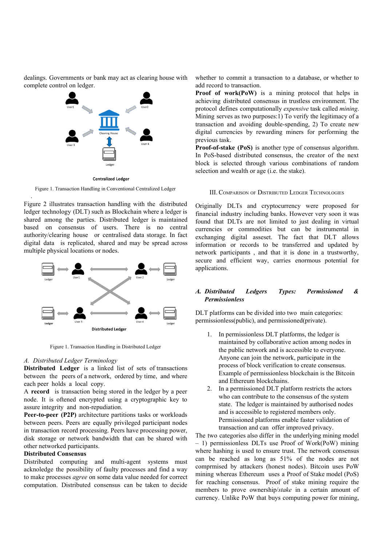dealings. Governments or bank may act as clearing house with complete control on ledger.



Figure 1. Transaction Handling in Conventional Centralized Ledger

Figure 2 illustrates transaction handling with the distributed ledger technology (DLT) such as Blockchain where a ledger is shared among the parties. Distributed ledger is maintained based on consensus of users. There is no central authority/clearing house or centralised data storage. In fact digital data is replicated, shared and may be spread across multiple physical locations or nodes.



Figure 1. Transaction Handling in Distributed Ledger

#### *A. Distributed Ledger Terminology*

.

**Distributed Ledger** is a linked list of sets of transactions between the peers of a network, ordered by time, and where each peer holds a local copy.

A **record** is transaction being stored in the ledger by a peer node. It is oftened encrypted using a cryptographic key to assure integrity and non-repudiation.

**Peer-to-peer (P2P)** architecture partitions tasks or workloads between peers. Peers are equally privileged participant nodes in transaction record processing. Peers have processing power, disk storage or network bandwidth that can be shared with other networked participants.

# **Distributed Consensus**

Distributed computing and multi-agent systems must acknoledge the possibility of faulty processes and find a way to make processes *agree* on some data value needed for correct computation. Distributed consensus can be taken to decide whether to commit a transaction to a database, or whether to add record to transaction.

**Proof of work(PoW)** is a mining protocol that helps in achieving distributed consensus in trustless environment. The protocol defines computationally *expensive* task called *mining*. Mining serves as two purposes:1) To verify the legitimacy of a transaction and avoiding double-spending, 2) To create new digital currencies by rewarding miners for performing the previous task.

**Proof-of-stake (PoS)** is another type of consensus algorithm. In PoS-based distributed consensus, the creator of the next block is selected through various combinations of random selection and wealth or age (i.e. the stake).

#### III. COMPARISON OF DISTRIBUTED LEDGER TECHNOLOGIES

Originally DLTs and cryptocurrency were proposed for financial industry including banks. However very soon it was found that DLTs are not limited to just dealing in virtual currencies or commodities but can be instrumental in exchanging digital asseset. The fact that DLT allows information or records to be transferred and updated by network participants , and that it is done in a trustworthy, secure and efficient way, carries enormous potential for applications.

# *A. Distributed Ledgers Types: Permissioned & Permissionless*

DLT platforms can be divided into two main categories: permissionless(public), and permissioned(private).

- 1. In permissionless DLT platforms, the ledger is maintained by collaborative action among nodes in the public network and is accessible to everyone. Anyone can join the network, participate in the process of block verification to create consensus. Example of permissionless blockchain is the Bitcoin and Ethereum blockchains.
- 2. In a permissioned DLT platform restricts the actors who can contribute to the consensus of the system state. The ledger is maintained by authorised nodes and is accessible to registered members only. Permissioned platforms enable faster validation of transaction and can offer improved privacy.

The two categories also differ in the underlying mining model – 1) permissionless DLTs use Proof of Work(PoW) mining where hashing is used to ensure trust. The network consensus can be reached as long as 51% of the nodes are not comprmised by attackers (honest nodes). Bitcoin uses PoW mining whereas Ethereum uses a Proof of Stake model (PoS) for reaching consensus. Proof of stake mining require the members to prove ownership/*stake* in a certain amount of currency. Unlike PoW that buys computing power for mining,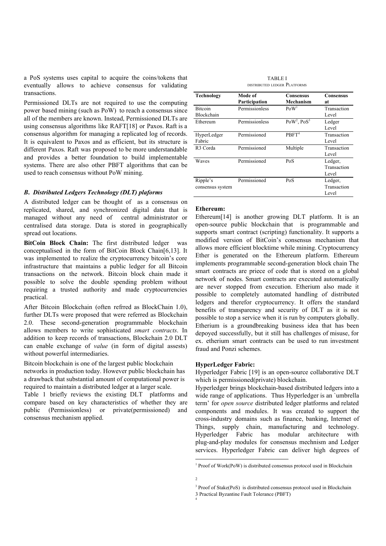a PoS systems uses capital to acquire the coins/tokens that eventually allows to achieve consensus for validating transactions.

Permissioned DLTs are not required to use the computing power based mining (such as PoW) to reach a consensus since all of the members are known. Instead, Permissioned DLTs are using consensus algorithms like RAFT[18] or Paxos. Raft is a consensus algorithm for managing a replicated log of records. It is equivalent to Paxos and as efficient, but its structure is different Paxos. Raft was proposed to be more understandable and provides a better foundation to build implementable systems. There are also other PBFT algorithms that can be used to reach consensus without PoW mining.

## *B***.** *Distributed Ledgers Technology (DLT) plaforms*

A distributed ledger can be thought of as a consensus on replicated, shared, and synchronized digital data that is managed without any need of central administrator or centralised data storage. Data is stored in geographically spread out locations.

**BitCoin Block Chain:** The first distributed ledger was conceptualised in the form of BitCoin Block Chain[6,13]. It was implemented to realize the cryptocurrency bitcoin's core infrastructure that maintains a public ledger for all Bitcoin transactions on the network. Bitcoin block chain made it possible to solve the double spending problem without requiring a trusted authority and made cryptocurrencies practical.

After Bitcoin Blockchain (often refrred as BlockChain 1.0), further DLTs were proposed that were referred as Blockchain 2.0. These second-generation programmable blockchain allows members to write sophisticated *smart contracts*. In addition to keep records of transactions, Blockchain 2.0 DLT can enable exchange of *value* (in form of digital assests) without powerful intermediaries.

Bitcoin blockchain is one of the largest public blockchain networks in production today. However public blockchain has a drawback that substantial amount of computational power is required to maintain a distributed ledger at a larger scale.

Table 1 briefly reviews the existing DLT platforms and compare based on key characteristics of whether they are public (Permissionless) or private(permissioned) and consensus mechanism applied.

| <b>TABLE I</b>               |  |  |
|------------------------------|--|--|
| DISTRIBUTED LEDGER PLATFORMS |  |  |

| <b>Technology</b>    | Mode of        | <b>Consensus</b>  | <b>Consensus</b> |
|----------------------|----------------|-------------------|------------------|
|                      | Participation  | Mechanism         | at               |
| <b>Bitcoin</b>       | Permissionless | PoW <sup>1</sup>  | Transaction      |
| Blockchain           |                |                   | Level            |
| Ethereum             | Permissionless | $PoW2$ , $PoS3$   | Ledger           |
|                      |                |                   | Level            |
| HyperLedger          | Permissioned   | PBFT <sup>4</sup> | Transaction      |
| Fabric               |                |                   | Level            |
| R <sub>3</sub> Corda | Permissioned   | Multiple          | Transaction      |
|                      |                |                   | Level            |
| Waves                | Permissioned   | PoS               | Ledger,          |
|                      |                |                   | Transaction      |
|                      |                |                   | Level            |
| Ripple's             | Permissioned   | PoS               | Ledger,          |
| consensus system     |                |                   | Transaction      |
|                      |                |                   | Level            |

#### **Ethereum:**

Ethereum<sup>[14]</sup> is another growing DLT platform. It is an open-source public blockchain that is programmable and supports smart contract (scripting) functionality. It supports a modified version of BitCoin's consensus mechanism that allows more efficient blocktime while mining. Cryptocurrency Ether is generated on the Ethereum platform. Ethereum implements programmable second-generation block chain The smart contracts are priece of code that is stored on a global network of nodes. Smart contracts are executed automatically are never stopped from execution. Etherium also made it possible to completely automated handling of distributed ledgers and therefor cryptocurrency. It offers the standard benefits of transparency and security of DLT as it is not possible to stop a service when it is run by computers globally. Etherium is a groundbreaking business idea that has been depoyed successfully, but it still has challenges of misuse, for ex. etherium smart contracts can be used to run investment fraud and Ponzi schemes.

## **HyperLedger Fabric:**

Hyperledger Fabric [19] is an open-source collaborative DLT which is permissioned(private) blockchain.

Hyperledger brings blockchain-based distributed ledgers into a wide range of applications. Thus Hyperledger is an `umbrella term' for *open source* distributed ledger platforms and related components and modules. It was created to support the cross-industry domains such as finance, banking, Internet of Things, supply chain, manufacturing and technology. Hyperledger Fabric has modular architecture with plug-and-play modules for consensus mechnism and Ledger services. Hyperledger Fabric can deliver high degrees of

4

 $1$  Proof of Work(PoW) is distributed consensus protocol used in Blockchain

<sup>2</sup>

<sup>&</sup>lt;sup>3</sup> Proof of Stake(PoS) is distributed consensus protocol used in Blockchain

<sup>3</sup> Practical Byzantine Fault Tolerance (PBFT)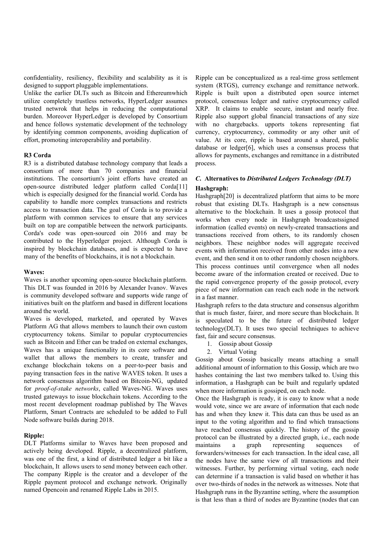confidentiality, resiliency, flexibility and scalability as it is designed to support pluggable implementations.

Unlike the earlier DLTs such as Bitcoin and Ethereumwhich utilize completely trustless networks, HyperLedger assumes trusted netwrok that helps in reducing the computational burden. Moreover HyperLedger is developed by Consortium and hence follows systematic development of the technology by identifying common components, avoiding duplication of effort, promoting interoperability and portability.

# **R3 Corda**

R3 is a distributed database technology company that leads a consortium of more than 70 companies and financial institutions. The consortium's joint efforts have created an open-source distributed ledger platform called Corda[11] which is especially designed for the financial world. Corda has capability to handle more complex transactions and restricts access to transaction data. The goal of Corda is to provide a platform with common services to ensure that any services built on top are compatible between the network participants. Corda's code was open-sourced oin 2016 and may be contributed to the Hyperledger project. Although Corda is inspired by blockchain databases, and is expected to have many of the benefits of blockchains, it is not a blockchain.

#### **Waves:**

Waves is another upcoming open-source blockchain platform. This DLT was founded in 2016 by Alexander Ivanov. Waves is community developed software and supports wide range of initiatives built on the platform and based in different locations around the world.

Waves is developed, marketed, and operated by Waves Platform AG that allows members to launch their own custom cryptocurrency tokens. Similar to popular cryptocurrencies such as Bitcoin and Ether can be traded on external exchanges, Waves has a unique functionality in its core software and wallet that allows the members to create, transfer and exchange blockchain tokens on a peer-to-peer basis and paying transaction fees in the native WAVES token. It uses a network consensus algorithm based on Bitcoin-NG, updated for *proof-of-stake networks*, called Waves-NG. Waves uses trusted gateways to issue blockchain tokens. According to the most recent development roadmap published by The Waves Platform, Smart Contracts are scheduled to be added to Full Node software builds during 2018.

## **Ripple:**

DLT Platforms similar to Waves have been proposed and actively being developed. Ripple, a decentralized platform, was one of the first, a kind of distributed ledger a bit like a blockchain, It allows users to send money between each other. The company Ripple is the creator and a developer of the Ripple payment protocol and exchange network. Originally named Opencoin and renamed Ripple Labs in 2015.

Ripple can be conceptualized as a real-time gross settlement system (RTGS), currency exchange and remittance network. Ripple is built upon a distributed open source internet protocol, consensus ledger and native cryptocurrency called XRP. It claims to enable secure, instant and nearly free. Ripple also support global financial transactions of any size with no chargebacks. upports tokens representing fiat currency, cryptocurrency, commodity or any other unit of value. At its core, ripple is based around a shared, public database or ledger[6], which uses a consensus process that allows for payments, exchanges and remittance in a distributed process.

# *C***. Alternatives to** *D istributed Ledgers Technology (DLT)* **Hashgraph:**

Hashgraph<sup>[20]</sup> is decentralized platform that aims to be more robust that existing DLTs. Hashgraph is a new consensus alternative to the blockchain. It uses a gossip protocol that works when every node in Hashgraph broadcastssigned information (called events) on newly-created transactions and transactions received from others, to its randomly chosen neighbors. These neighbor nodes will aggregate received events with information received from other nodes into a new event, and then send it on to other randomly chosen neighbors. This process continues until convergence when all nodes become aware of the information created or received. Due to the rapid convergence property of the gossip protocol, every piece of new information can reach each node in the network in a fast manner.

Hashgraph refers to the data structure and consensus algorithm that is much faster, fairer, and more secure than blockchain. It is speculated to be the future of distributed ledger technology(DLT). It uses two special techniques to achieve fast, fair and secure consensus.

- 1. Gossip about Gossip
- 2. Virtual Voting

Gossip about Gossip basically means attaching a small additional amount of information to this Gossip, which are two hashes containing the last two members talked to. Using this information, a Hashgraph can be built and regularly updated when more information is gossiped, on each node.

Once the Hashgraph is ready, it is easy to know what a node would vote, since we are aware of information that each node has and when they knew it. This data can thus be used as an input to the voting algorithm and to find which transactions have reached consensus quickly. The history of the gossip protocol can be illustrated by a directed graph, i.e., each node maintains a graph representing sequences of forwarders/witnesses for each transaction. In the ideal case, all the nodes have the same view of all transactions and their witnesses. Further, by performing virtual voting, each node can determine if a transaction is valid based on whether it has over two-thirds of nodes in the network as witnesses. Note that Hashgraph runs in the Byzantine setting, where the assumption is that less than a third of nodes are Byzantine (nodes that can